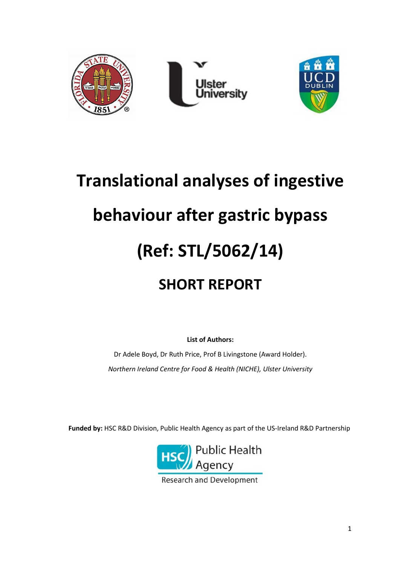

# **Translational analyses of ingestive behaviour after gastric bypass (Ref: STL/5062/14) SHORT REPORT**

**List of Authors:**

Dr Adele Boyd, Dr Ruth Price, Prof B Livingstone (Award Holder). *Northern Ireland Centre for Food & Health (NICHE), Ulster University*

**Funded by:** HSC R&D Division, Public Health Agency as part of the US-Ireland R&D Partnership



**Research and Development**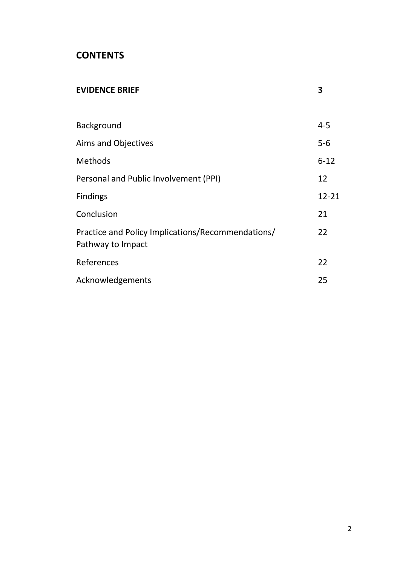## **CONTENTS**

| <b>EVIDENCE BRIEF</b>                                                  | 3        |
|------------------------------------------------------------------------|----------|
|                                                                        |          |
| Background                                                             | $4 - 5$  |
| <b>Aims and Objectives</b>                                             | $5-6$    |
| Methods                                                                | $6 - 12$ |
| Personal and Public Involvement (PPI)                                  | 12       |
| <b>Findings</b>                                                        | 12-21    |
| Conclusion                                                             | 21       |
| Practice and Policy Implications/Recommendations/<br>Pathway to Impact | 22       |
| References                                                             | 22       |
| Acknowledgements                                                       | 25       |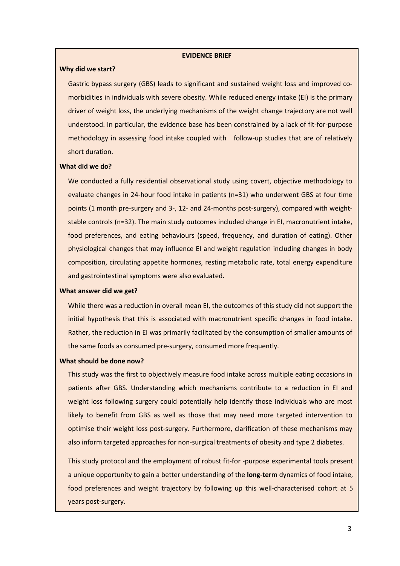#### **EVIDENCE BRIEF**

#### **Why did we start?**

Gastric bypass surgery (GBS) leads to significant and sustained weight loss and improved comorbidities in individuals with severe obesity. While reduced energy intake (EI) is the primary driver of weight loss, the underlying mechanisms of the weight change trajectory are not well understood. In particular, the evidence base has been constrained by a lack of fit-for-purpose methodology in assessing food intake coupled with follow-up studies that are of relatively short duration.

## **What did we do?**

We conducted a fully residential observational study using covert, objective methodology to evaluate changes in 24-hour food intake in patients (n=31) who underwent GBS at four time points (1 month pre-surgery and 3-, 12- and 24-months post-surgery), compared with weightstable controls (n=32). The main study outcomes included change in EI, macronutrient intake, food preferences, and eating behaviours (speed, frequency, and duration of eating). Other physiological changes that may influence EI and weight regulation including changes in body composition, circulating appetite hormones, resting metabolic rate, total energy expenditure and gastrointestinal symptoms were also evaluated.

#### **What answer did we get?**

While there was a reduction in overall mean EI, the outcomes of this study did not support the initial hypothesis that this is associated with macronutrient specific changes in food intake. Rather, the reduction in EI was primarily facilitated by the consumption of smaller amounts of the same foods as consumed pre-surgery, consumed more frequently.

#### **What should be done now?**

This study was the first to objectively measure food intake across multiple eating occasions in patients after GBS. Understanding which mechanisms contribute to a reduction in EI and weight loss following surgery could potentially help identify those individuals who are most likely to benefit from GBS as well as those that may need more targeted intervention to optimise their weight loss post-surgery. Furthermore, clarification of these mechanisms may also inform targeted approaches for non-surgical treatments of obesity and type 2 diabetes.

This study protocol and the employment of robust fit-for -purpose experimental tools present a unique opportunity to gain a better understanding of the **long-term** dynamics of food intake, food preferences and weight trajectory by following up this well-characterised cohort at 5 years post-surgery.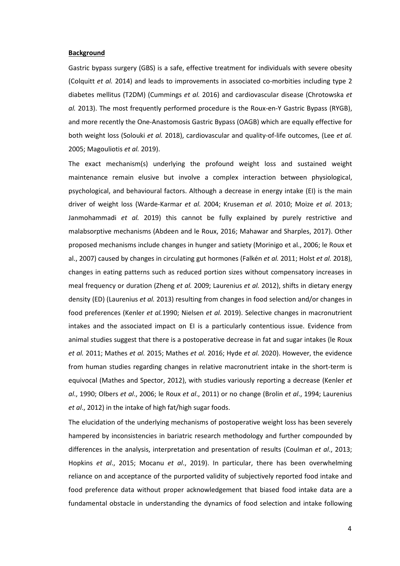#### **Background**

Gastric bypass surgery (GBS) is a safe, effective treatment for individuals with severe obesity (Colquitt *et al.* 2014) and leads to improvements in associated co-morbities including type 2 diabetes mellitus (T2DM) (Cummings *et al.* 2016) and cardiovascular disease (Chrotowska *et al.* 2013). The most frequently performed procedure is the Roux-en-Y Gastric Bypass (RYGB), and more recently the One-Anastomosis Gastric Bypass (OAGB) which are equally effective for both weight loss (Solouki *et al.* 2018), cardiovascular and quality-of-life outcomes, (Lee *et al.*  2005; Magouliotis *et al.* 2019).

The exact mechanism(s) underlying the profound weight loss and sustained weight maintenance remain elusive but involve a complex interaction between physiological, psychological, and behavioural factors. Although a decrease in energy intake (EI) is the main driver of weight loss (Warde-Karmar *et al.* 2004; Kruseman *et al.* 2010; Moize *et al.* 2013; Janmohammadi *et al.* 2019) this cannot be fully explained by purely restrictive and malabsorptive mechanisms (Abdeen and le Roux, 2016; Mahawar and Sharples, 2017). Other proposed mechanisms include changes in hunger and satiety (Morinigo et al., 2006; le Roux et al., 2007) caused by changes in circulating gut hormones (Falkén *et al.* 2011; Holst *et al.* 2018), changes in eating patterns such as reduced portion sizes without compensatory increases in meal frequency or duration (Zheng *et al.* 2009; Laurenius *et al.* 2012), shifts in dietary energy density (ED) (Laurenius *et al.* 2013) resulting from changes in food selection and/or changes in food preferences (Kenler *et al.*1990; Nielsen *et al.* 2019). Selective changes in macronutrient intakes and the associated impact on EI is a particularly contentious issue. Evidence from animal studies suggest that there is a postoperative decrease in fat and sugar intakes (le Roux *et al.* 2011; Mathes *et al.* 2015; Mathes *et al.* 2016; Hyde *et al.* 2020). However, the evidence from human studies regarding changes in relative macronutrient intake in the short-term is equivocal (Mathes and Spector, 2012), with studies variously reporting a decrease (Kenler *et al*., 1990; Olbers *et al*., 2006; le Roux *et al*., 2011) or no change (Brolin *et al*., 1994; Laurenius *et al*., 2012) in the intake of high fat/high sugar foods.

The elucidation of the underlying mechanisms of postoperative weight loss has been severely hampered by inconsistencies in bariatric research methodology and further compounded by differences in the analysis, interpretation and presentation of results (Coulman *et al*., 2013; Hopkins *et al*., 2015; Mocanu *et al*., 2019). In particular, there has been overwhelming reliance on and acceptance of the purported validity of subjectively reported food intake and food preference data without proper acknowledgement that biased food intake data are a fundamental obstacle in understanding the dynamics of food selection and intake following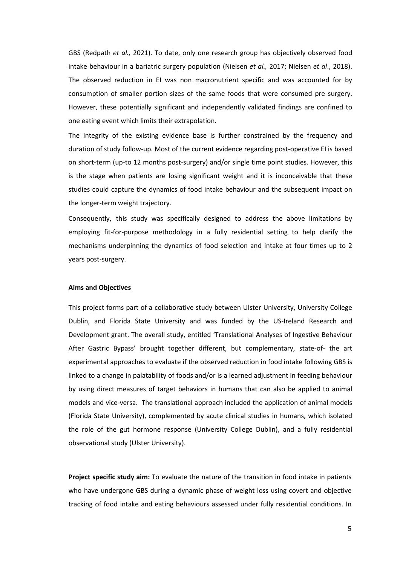GBS (Redpath *et al.,* 2021). To date, only one research group has objectively observed food intake behaviour in a bariatric surgery population (Nielsen *et al.,* 2017; Nielsen *et al*., 2018). The observed reduction in EI was non macronutrient specific and was accounted for by consumption of smaller portion sizes of the same foods that were consumed pre surgery. However, these potentially significant and independently validated findings are confined to one eating event which limits their extrapolation.

The integrity of the existing evidence base is further constrained by the frequency and duration of study follow-up. Most of the current evidence regarding post-operative EI is based on short-term (up-to 12 months post-surgery) and/or single time point studies. However, this is the stage when patients are losing significant weight and it is inconceivable that these studies could capture the dynamics of food intake behaviour and the subsequent impact on the longer-term weight trajectory.

Consequently, this study was specifically designed to address the above limitations by employing fit-for-purpose methodology in a fully residential setting to help clarify the mechanisms underpinning the dynamics of food selection and intake at four times up to 2 years post-surgery.

#### **Aims and Objectives**

This project forms part of a collaborative study between Ulster University, University College Dublin, and Florida State University and was funded by the US-Ireland Research and Development grant. The overall study, entitled 'Translational Analyses of Ingestive Behaviour After Gastric Bypass' brought together different, but complementary, state-of- the art experimental approaches to evaluate if the observed reduction in food intake following GBS is linked to a change in palatability of foods and/or is a learned adjustment in feeding behaviour by using direct measures of target behaviors in humans that can also be applied to animal models and vice-versa. The translational approach included the application of animal models (Florida State University), complemented by acute clinical studies in humans, which isolated the role of the gut hormone response (University College Dublin), and a fully residential observational study (Ulster University).

**Project specific study aim:** To evaluate the nature of the transition in food intake in patients who have undergone GBS during a dynamic phase of weight loss using covert and objective tracking of food intake and eating behaviours assessed under fully residential conditions. In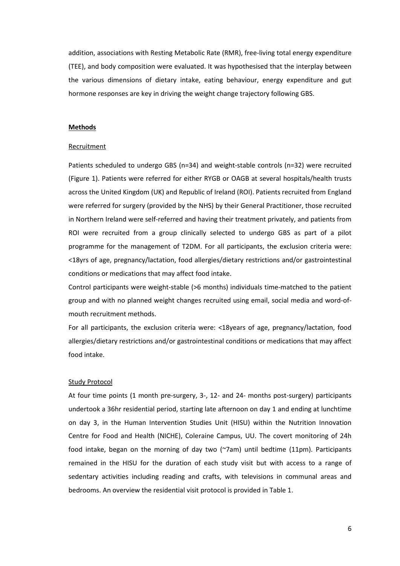addition, associations with Resting Metabolic Rate (RMR), free-living total energy expenditure (TEE), and body composition were evaluated. It was hypothesised that the interplay between the various dimensions of dietary intake, eating behaviour, energy expenditure and gut hormone responses are key in driving the weight change trajectory following GBS.

#### **Methods**

#### Recruitment

Patients scheduled to undergo GBS (n=34) and weight-stable controls (n=32) were recruited (Figure 1). Patients were referred for either RYGB or OAGB at several hospitals/health trusts across the United Kingdom (UK) and Republic of Ireland (ROI). Patients recruited from England were referred for surgery (provided by the NHS) by their General Practitioner, those recruited in Northern Ireland were self-referred and having their treatment privately, and patients from ROI were recruited from a group clinically selected to undergo GBS as part of a pilot programme for the management of T2DM. For all participants, the exclusion criteria were: <18yrs of age, pregnancy/lactation, food allergies/dietary restrictions and/or gastrointestinal conditions or medications that may affect food intake.

Control participants were weight-stable (>6 months) individuals time-matched to the patient group and with no planned weight changes recruited using email, social media and word-ofmouth recruitment methods.

For all participants, the exclusion criteria were: <18years of age, pregnancy/lactation, food allergies/dietary restrictions and/or gastrointestinal conditions or medications that may affect food intake.

#### Study Protocol

At four time points (1 month pre-surgery, 3-, 12- and 24- months post-surgery) participants undertook a 36hr residential period, starting late afternoon on day 1 and ending at lunchtime on day 3, in the Human Intervention Studies Unit (HISU) within the Nutrition Innovation Centre for Food and Health (NICHE), Coleraine Campus, UU. The covert monitoring of 24h food intake, began on the morning of day two (~7am) until bedtime (11pm). Participants remained in the HISU for the duration of each study visit but with access to a range of sedentary activities including reading and crafts, with televisions in communal areas and bedrooms. An overview the residential visit protocol is provided in Table 1.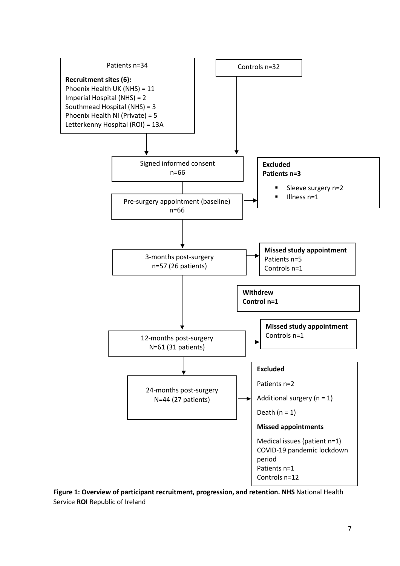

**Figure 1: Overview of participant recruitment, progression, and retention. NHS** National Health Service **ROI** Republic of Ireland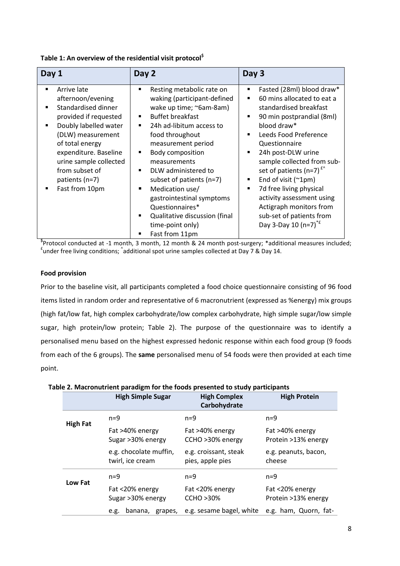**Table 1: An overview of the residential visit protocol\$**

| Day 1                                                                                                                                                                                                                                                                                               | Day 2                                                                                                                                                                                                                                                                                                                                                                                                                                                                                     | Day 3                                                                                                                                                                                                                                                                                                                                                                                                                                                                                                          |
|-----------------------------------------------------------------------------------------------------------------------------------------------------------------------------------------------------------------------------------------------------------------------------------------------------|-------------------------------------------------------------------------------------------------------------------------------------------------------------------------------------------------------------------------------------------------------------------------------------------------------------------------------------------------------------------------------------------------------------------------------------------------------------------------------------------|----------------------------------------------------------------------------------------------------------------------------------------------------------------------------------------------------------------------------------------------------------------------------------------------------------------------------------------------------------------------------------------------------------------------------------------------------------------------------------------------------------------|
| Arrive late<br>٠<br>afternoon/evening<br>Standardised dinner<br>$\blacksquare$<br>provided if requested<br>Doubly labelled water<br>$\blacksquare$<br>(DLW) measurement<br>of total energy<br>expenditure. Baseline<br>urine sample collected<br>from subset of<br>patients (n=7)<br>Fast from 10pm | Resting metabolic rate on<br>٠<br>waking (participant-defined<br>wake up time; ~6am-8am)<br><b>Buffet breakfast</b><br>24h ad-libitum access to<br>٠<br>food throughout<br>measurement period<br>Body composition<br>٠<br>measurements<br>DLW administered to<br>$\blacksquare$<br>subset of patients (n=7)<br>Medication use/<br>gastrointestinal symptoms<br>Questionnaires*<br>Qualitative discussion (final<br>$\blacksquare$<br>time-point only)<br>Fast from 11pm<br>$\blacksquare$ | Fasted (28ml) blood draw*<br>٠<br>60 mins allocated to eat a<br>$\blacksquare$<br>standardised breakfast<br>90 min postprandial (8ml)<br>٠<br>blood draw*<br>Leeds Food Preference<br>$\blacksquare$<br>Questionnaire<br>24h post-DLW urine<br>$\blacksquare$<br>sample collected from sub-<br>set of patients (n=7) $f^*$<br>End of visit $(^{2}1pm)$<br>7d free living physical<br>٠<br>activity assessment using<br>Actigraph monitors from<br>sub-set of patients from<br>Day 3-Day 10 (n=7) <sup>*f</sup> |

 $\frac{1}{2}$ Protocol conducted at -1 month, 3 month, 12 month & 24 month post-surgery; \*additional measures included;<br> $\frac{1}{2}$ under free living conditional codditional spot-vripe semples collected at Day 7.8, Day 14. under free living conditions;  $\hat{}$ additional spot urine samples collected at Day 7 & Day 14.

## **Food provision**

Prior to the baseline visit, all participants completed a food choice questionnaire consisting of 96 food items listed in random order and representative of 6 macronutrient (expressed as %energy) mix groups (high fat/low fat, high complex carbohydrate/low complex carbohydrate, high simple sugar/low simple sugar, high protein/low protein; Table 2). The purpose of the questionnaire was to identify a personalised menu based on the highest expressed hedonic response within each food group (9 foods from each of the 6 groups). The **same** personalised menu of 54 foods were then provided at each time point.

## **Table 2. Macronutrient paradigm for the foods presented to study participants**

|                 | <b>High Simple Sugar</b>                   | <b>High Complex</b><br>Carbohydrate       | <b>High Protein</b>                    |
|-----------------|--------------------------------------------|-------------------------------------------|----------------------------------------|
| <b>High Fat</b> | $n=9$                                      | $n=9$                                     | $n=9$                                  |
|                 | Fat >40% energy<br>Sugar > 30% energy      | Fat >40% energy<br>CCHO >30% energy       | Fat >40% energy<br>Protein >13% energy |
|                 | e.g. chocolate muffin,<br>twirl, ice cream | e.g. croissant, steak<br>pies, apple pies | e.g. peanuts, bacon,<br>cheese         |
|                 | $n=9$                                      | $n=9$                                     | $n=9$                                  |
| Low Fat         | Fat <20% energy<br>Sugar >30% energy       | Fat <20% energy<br><b>CCHO &gt;30%</b>    | Fat <20% energy<br>Protein >13% energy |
|                 | banana,<br>grapes,<br>e.g.                 | e.g. sesame bagel, white                  | e.g. ham, Quorn, fat-                  |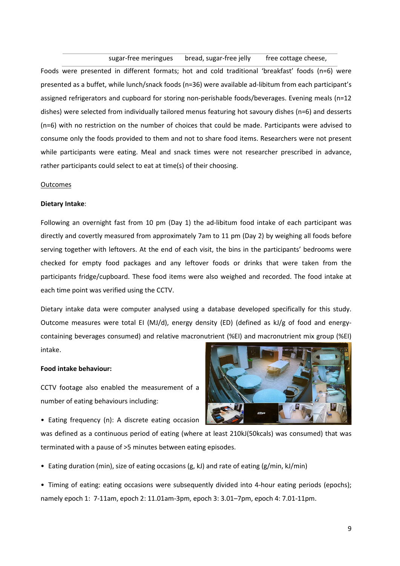sugar-free meringues bread, sugar-free jelly free cottage cheese,

Foods were presented in different formats; hot and cold traditional 'breakfast' foods (n=6) were presented as a buffet, while lunch/snack foods (n=36) were available ad-libitum from each participant's assigned refrigerators and cupboard for storing non-perishable foods/beverages. Evening meals (n=12 dishes) were selected from individually tailored menus featuring hot savoury dishes (n=6) and desserts (n=6) with no restriction on the number of choices that could be made. Participants were advised to consume only the foods provided to them and not to share food items. Researchers were not present while participants were eating. Meal and snack times were not researcher prescribed in advance, rather participants could select to eat at time(s) of their choosing.

#### Outcomes

#### **Dietary Intake**:

Following an overnight fast from 10 pm (Day 1) the ad-libitum food intake of each participant was directly and covertly measured from approximately 7am to 11 pm (Day 2) by weighing all foods before serving together with leftovers. At the end of each visit, the bins in the participants' bedrooms were checked for empty food packages and any leftover foods or drinks that were taken from the participants fridge/cupboard. These food items were also weighed and recorded. The food intake at each time point was verified using the CCTV.

Dietary intake data were computer analysed using a database developed specifically for this study. Outcome measures were total EI (MJ/d), energy density (ED) (defined as kJ/g of food and energycontaining beverages consumed) and relative macronutrient (%EI) and macronutrient mix group (%EI) intake.

#### **Food intake behaviour:**

CCTV footage also enabled the measurement of a number of eating behaviours including:

• Eating frequency (n): A discrete eating occasion



was defined as a continuous period of eating (where at least 210kJ(50kcals) was consumed) that was terminated with a pause of >5 minutes between eating episodes.

• Eating duration (min), size of eating occasions (g, kJ) and rate of eating (g/min, kJ/min)

• Timing of eating: eating occasions were subsequently divided into 4-hour eating periods (epochs); namely epoch 1: 7-11am, epoch 2: 11.01am-3pm, epoch 3: 3.01–7pm, epoch 4: 7.01-11pm.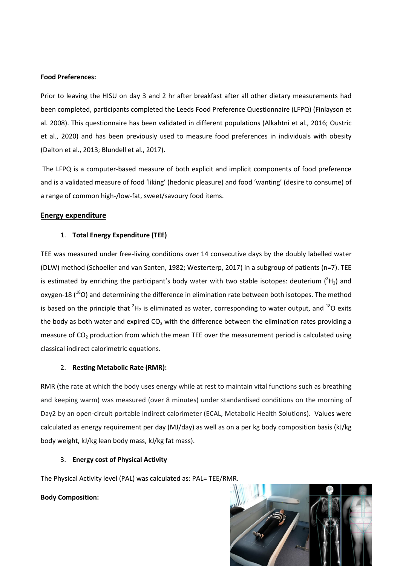## **Food Preferences:**

Prior to leaving the HISU on day 3 and 2 hr after breakfast after all other dietary measurements had been completed, participants completed the Leeds Food Preference Questionnaire (LFPQ) (Finlayson et al. 2008). This questionnaire has been validated in different populations (Alkahtni et al., 2016; Oustric et al., 2020) and has been previously used to measure food preferences in individuals with obesity (Dalton et al., 2013; Blundell et al., 2017).

The LFPQ is a computer-based measure of both explicit and implicit components of food preference and is a validated measure of food 'liking' (hedonic pleasure) and food 'wanting' (desire to consume) of a range of common high-/low-fat, sweet/savoury food items.

## **Energy expenditure**

## 1. **Total Energy Expenditure (TEE)**

TEE was measured under free-living conditions over 14 consecutive days by the doubly labelled water (DLW) method (Schoeller and van Santen, 1982; Westerterp, 2017) in a subgroup of patients (n=7). TEE is estimated by enriching the participant's body water with two stable isotopes: deuterium  $(^{2}H_{2})$  and oxygen-18  $(^{18}O)$  and determining the difference in elimination rate between both isotopes. The method is based on the principle that  ${}^{2}H_{2}$  is eliminated as water, corresponding to water output, and  ${}^{18}O$  exits the body as both water and expired  $CO<sub>2</sub>$  with the difference between the elimination rates providing a measure of  $CO<sub>2</sub>$  production from which the mean TEE over the measurement period is calculated using classical indirect calorimetric equations.

## 2. **Resting Metabolic Rate (RMR):**

RMR (the rate at which the body uses energy while at rest to maintain vital functions such as breathing and keeping warm) was measured (over 8 minutes) under standardised conditions on the morning of Day2 by an open-circuit portable indirect calorimeter (ECAL, Metabolic Health Solutions). Values were calculated as energy requirement per day (MJ/day) as well as on a per kg body composition basis (kJ/kg body weight, kJ/kg lean body mass, kJ/kg fat mass).

## 3. **Energy cost of Physical Activity**

The Physical Activity level (PAL) was calculated as: PAL= TEE/RMR.

## **Body Composition:**

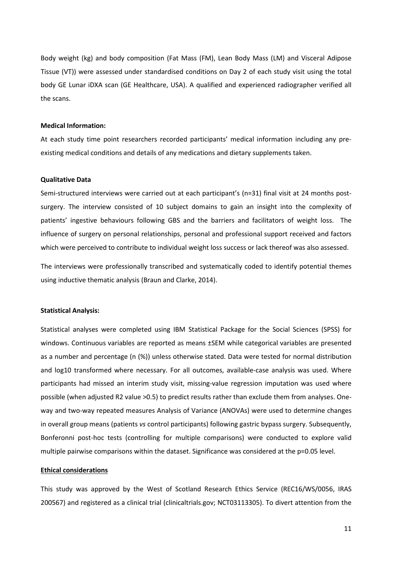Body weight (kg) and body composition (Fat Mass (FM), Lean Body Mass (LM) and Visceral Adipose Tissue (VT)) were assessed under standardised conditions on Day 2 of each study visit using the total body GE Lunar iDXA scan (GE Healthcare, USA). A qualified and experienced radiographer verified all the scans.

#### **Medical Information:**

At each study time point researchers recorded participants' medical information including any preexisting medical conditions and details of any medications and dietary supplements taken.

#### **Qualitative Data**

Semi-structured interviews were carried out at each participant's (n=31) final visit at 24 months postsurgery. The interview consisted of 10 subject domains to gain an insight into the complexity of patients' ingestive behaviours following GBS and the barriers and facilitators of weight loss. The influence of surgery on personal relationships, personal and professional support received and factors which were perceived to contribute to individual weight loss success or lack thereof was also assessed.

The interviews were professionally transcribed and systematically coded to identify potential themes using inductive thematic analysis (Braun and Clarke, 2014).

#### **Statistical Analysis:**

Statistical analyses were completed using IBM Statistical Package for the Social Sciences (SPSS) for windows. Continuous variables are reported as means ±SEM while categorical variables are presented as a number and percentage (n (%)) unless otherwise stated. Data were tested for normal distribution and log10 transformed where necessary. For all outcomes, available-case analysis was used. Where participants had missed an interim study visit, missing-value regression imputation was used where possible (when adjusted R2 value >0.5) to predict results rather than exclude them from analyses. Oneway and two-way repeated measures Analysis of Variance (ANOVAs) were used to determine changes in overall group means (patients *vs* control participants) following gastric bypass surgery. Subsequently, Bonferonni post-hoc tests (controlling for multiple comparisons) were conducted to explore valid multiple pairwise comparisons within the dataset. Significance was considered at the p=0.05 level.

#### **Ethical considerations**

This study was approved by the West of Scotland Research Ethics Service (REC16/WS/0056, IRAS 200567) and registered as a clinical trial (clinicaltrials.gov; NCT03113305). To divert attention from the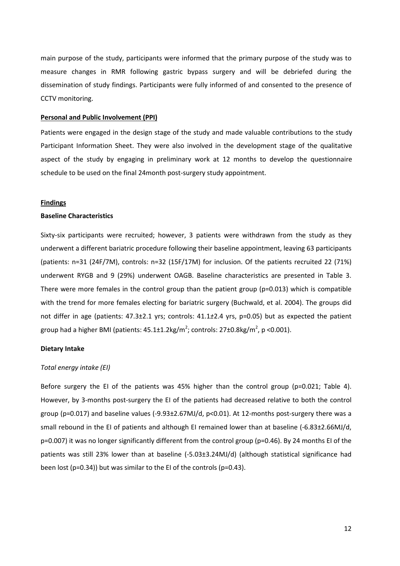main purpose of the study, participants were informed that the primary purpose of the study was to measure changes in RMR following gastric bypass surgery and will be debriefed during the dissemination of study findings. Participants were fully informed of and consented to the presence of CCTV monitoring.

#### **Personal and Public Involvement (PPI)**

Patients were engaged in the design stage of the study and made valuable contributions to the study Participant Information Sheet. They were also involved in the development stage of the qualitative aspect of the study by engaging in preliminary work at 12 months to develop the questionnaire schedule to be used on the final 24month post-surgery study appointment.

#### **Findings**

#### **Baseline Characteristics**

Sixty-six participants were recruited; however, 3 patients were withdrawn from the study as they underwent a different bariatric procedure following their baseline appointment, leaving 63 participants (patients: n=31 (24F/7M), controls: n=32 (15F/17M) for inclusion. Of the patients recruited 22 (71%) underwent RYGB and 9 (29%) underwent OAGB. Baseline characteristics are presented in Table 3. There were more females in the control group than the patient group (p=0.013) which is compatible with the trend for more females electing for bariatric surgery (Buchwald, et al. 2004). The groups did not differ in age (patients: 47.3±2.1 yrs; controls: 41.1*±*2.4 yrs, p=0.05) but as expected the patient group had a higher BMI (patients:  $45.1 \pm 1.2$ kg/m<sup>2</sup>; controls: 27 $\pm$ 0.8kg/m<sup>2</sup>, p <0.001).

#### **Dietary Intake**

#### *Total energy intake (EI)*

Before surgery the EI of the patients was 45% higher than the control group (p=0.021; Table 4). However, by 3-months post-surgery the EI of the patients had decreased relative to both the control group (p=0.017) and baseline values (-9.93±2.67MJ/d, p<0.01). At 12-months post-surgery there was a small rebound in the EI of patients and although EI remained lower than at baseline (-6.83±2.66MJ/d,  $p=0.007$ ) it was no longer significantly different from the control group ( $p=0.46$ ). By 24 months EI of the patients was still 23% lower than at baseline (-5.03±3.24MJ/d) (although statistical significance had been lost (p=0.34)) but was similar to the EI of the controls (p=0.43).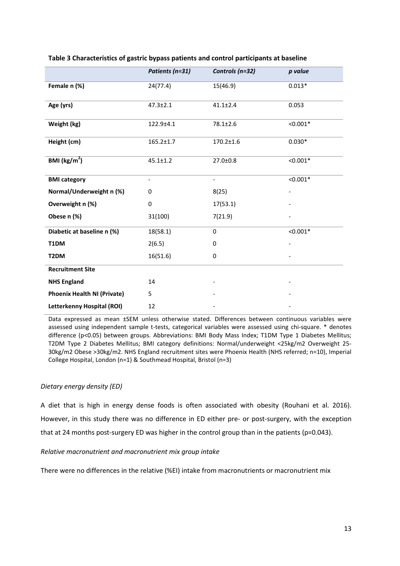|                                    | Patients (n=31) | Controls (n=32)          | p value    |
|------------------------------------|-----------------|--------------------------|------------|
| Female n (%)                       | 24(77.4)        | 15(46.9)                 | $0.013*$   |
| Age (yrs)                          | $47.3 \pm 2.1$  | $41.1 \pm 2.4$           | 0.053      |
| Weight (kg)                        | 122.9±4.1       | 78.1±2.6                 | $< 0.001*$ |
| Height (cm)                        | $165.2 \pm 1.7$ | 170.2±1.6                | $0.030*$   |
| BMI ( $\text{kg/m}^2$ )            | $45.1 \pm 1.2$  | 27.0±0.8                 | $< 0.001*$ |
| <b>BMI</b> category                |                 | $\overline{\phantom{0}}$ | $< 0.001*$ |
| Normal/Underweight n (%)           | 0               | 8(25)                    |            |
| Overweight n (%)                   | 0               | 17(53.1)                 |            |
| Obese n (%)                        | 31(100)         | 7(21.9)                  |            |
| Diabetic at baseline n (%)         | 18(58.1)        | 0                        | $< 0.001*$ |
| T1DM                               | 2(6.5)          | 0                        |            |
| T2DM                               | 16(51.6)        | $\mathbf 0$              |            |
| <b>Recruitment Site</b>            |                 |                          |            |
| <b>NHS England</b>                 | 14              |                          |            |
| <b>Phoenix Health NI (Private)</b> | 5               |                          |            |
| Letterkenny Hospital (ROI)         | 12              |                          |            |

## **Table 3 Characteristics of gastric bypass patients and control participants at baseline**

Data expressed as mean ±SEM unless otherwise stated. Differences between continuous variables were assessed using independent sample t-tests, categorical variables were assessed using chi-square. \* denotes difference (p<0.05) between groups. Abbreviations: BMI Body Mass Index; T1DM Type 1 Diabetes Mellitus; T2DM Type 2 Diabetes Mellitus; BMI category definitions: Normal/underweight <25kg/m2 Overweight 25- 30kg/m2 Obese >30kg/m2. NHS England recruitment sites were Phoenix Health (NHS referred; n=10), Imperial College Hospital, London (n=1) & Southmead Hospital, Bristol (n=3)

## *Dietary energy density (ED)*

A diet that is high in energy dense foods is often associated with obesity (Rouhani et al. 2016). However, in this study there was no difference in ED either pre- or post-surgery, with the exception that at 24 months post-surgery ED was higher in the control group than in the patients (p=0.043).

## *Relative macronutrient and macronutrient mix group intake*

There were no differences in the relative (%EI) intake from macronutrients or macronutrient mix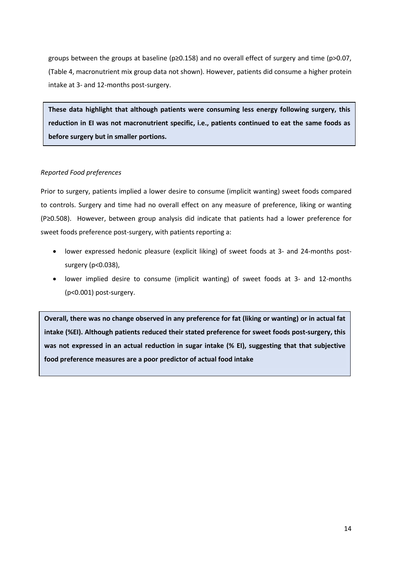groups between the groups at baseline (p≥0.158) and no overall effect of surgery and time (p>0.07, (Table 4, macronutrient mix group data not shown). However, patients did consume a higher protein intake at 3- and 12-months post-surgery.

**These data highlight that although patients were consuming less energy following surgery, this reduction in EI was not macronutrient specific, i.e., patients continued to eat the same foods as before surgery but in smaller portions.**

## *Reported Food preferences*

Prior to surgery, patients implied a lower desire to consume (implicit wanting) sweet foods compared to controls. Surgery and time had no overall effect on any measure of preference, liking or wanting (P≥0.508). However, between group analysis did indicate that patients had a lower preference for sweet foods preference post-surgery, with patients reporting a:

- lower expressed hedonic pleasure (explicit liking) of sweet foods at 3- and 24-months postsurgery (p<0.038),
- lower implied desire to consume (implicit wanting) of sweet foods at 3- and 12-months (p<0.001) post-surgery.

**Overall, there was no change observed in any preference for fat (liking or wanting) or in actual fat intake (%EI). Although patients reduced their stated preference for sweet foods post-surgery, this was not expressed in an actual reduction in sugar intake (% EI), suggesting that that subjective food preference measures are a poor predictor of actual food intake**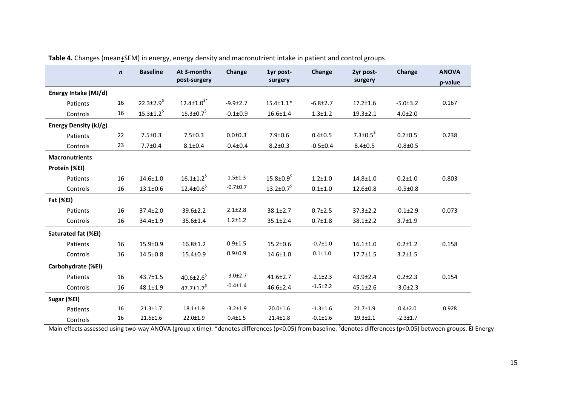|                       | $\mathbf n$ | <b>Baseline</b>              | At 3-months                  | Change         | 1yr post-                    | <b>Change</b>  | 2yr post-            | <b>Change</b>  | <b>ANOVA</b> |
|-----------------------|-------------|------------------------------|------------------------------|----------------|------------------------------|----------------|----------------------|----------------|--------------|
|                       |             |                              | post-surgery                 |                | surgery                      |                | surgery              |                | p-value      |
| Energy Intake (MJ/d)  |             |                              |                              |                |                              |                |                      |                |              |
| Patients              | 16          | $22.3 \pm 2.9$ <sup>\$</sup> | $12.4 \pm 1.0^{5*}$          | $-9.9 \pm 2.7$ | $15.4 \pm 1.1*$              | $-6.8 \pm 2.7$ | $17.2 \pm 1.6$       | $-5.0 \pm 3.2$ | 0.167        |
| Controls              | 16          | $15.3 \pm 1.2^5$             | $15.3 \pm 0.7^5$             | $-0.1 \pm 0.9$ | $16.6 \pm 1.4$               | $1.3 + 1.2$    | $19.3 \pm 2.1$       | $4.0 \pm 2.0$  |              |
| Energy Density (kJ/g) |             |                              |                              |                |                              |                |                      |                |              |
| Patients              | 22          | $7.5 \pm 0.3$                | $7.5 \pm 0.3$                | $0.0 + 0.3$    | $7.9 \pm 0.6$                | $0.4 \pm 0.5$  | 7.3 $\pm$ 0.5 $^{5}$ | $0.2 \pm 0.5$  | 0.238        |
| Controls              | 23          | $7.7 \pm 0.4$                | $8.1 \pm 0.4$                | $-0.4 \pm 0.4$ | $8.2 \pm 0.3$                | $-0.5 \pm 0.4$ | $8.4 \pm 0.5$        | $-0.8 + 0.5$   |              |
| <b>Macronutrients</b> |             |                              |                              |                |                              |                |                      |                |              |
| Protein (%EI)         |             |                              |                              |                |                              |                |                      |                |              |
| Patients              | 16          | $14.6 \pm 1.0$               | $16.1 \pm 1.2^5$             | $1.5 + 1.3$    | $15.8 \pm 0.9$ <sup>\$</sup> | $1.2 + 1.0$    | $14.8 \pm 1.0$       | $0.2 + 1.0$    | 0.803        |
| Controls              | 16          | $13.1 \pm 0.6$               | $12.4 \pm 0.6^5$             | $-0.7 + 0.7$   | $13.2 \pm 0.7^5$             | $0.1 + 1.0$    | 12.6±0.8             | $-0.5 \pm 0.8$ |              |
| Fat (%EI)             |             |                              |                              |                |                              |                |                      |                |              |
| Patients              | 16          | $37.4 \pm 2.0$               | $39.6 \pm 2.2$               | $2.1 \pm 2.8$  | $38.1 \pm 2.7$               | $0.7 \pm 2.5$  | $37.3 \pm 2.2$       | $-0.1 \pm 2.9$ | 0.073        |
| Controls              | 16          | $34.4 \pm 1.9$               | $35.6 \pm 1.4$               | $1.2 + 1.2$    | $35.1 \pm 2.4$               | $0.7 \pm 1.8$  | $38.1 \pm 2.2$       | $3.7 \pm 1.9$  |              |
| Saturated fat (%EI)   |             |                              |                              |                |                              |                |                      |                |              |
| Patients              | 16          | $15.9 \pm 0.9$               | $16.8 \pm 1.2$               | $0.9 + 1.5$    | $15.2 \pm 0.6$               | $-0.7{\pm}1.0$ | $16.1 \pm 1.0$       | $0.2 + 1.2$    | 0.158        |
| Controls              | 16          | $14.5 \pm 0.8$               | $15.4 \pm 0.9$               | $0.9 + 0.9$    | $14.6 \pm 1.0$               | $0.1 + 1.0$    | $17.7 \pm 1.5$       | $3.2 + 1.5$    |              |
| Carbohydrate (%EI)    |             |                              |                              |                |                              |                |                      |                |              |
| Patients              | 16          | 43.7±1.5                     | 40.6 $\pm$ 2.6 <sup>\$</sup> | $-3.0{\pm}2.7$ | $41.6 \pm 2.7$               | $-2.1 \pm 2.3$ | $43.9 \pm 2.4$       | $0.2 + 2.3$    | 0.154        |
| Controls              | 16          | $48.1 \pm 1.9$               | 47.7 $\pm$ 1.7 $^{\text{S}}$ | $-0.4 \pm 1.4$ | $46.6 \pm 2.4$               | $-1.5 \pm 2.2$ | $45.1 \pm 2.6$       | $-3.0 \pm 2.3$ |              |
| Sugar (%EI)           |             |                              |                              |                |                              |                |                      |                |              |
| Patients              | 16          | $21.3 \pm 1.7$               | $18.1 \pm 1.9$               | $-3.2 \pm 1.9$ | $20.0 \pm 1.6$               | $-1.3 \pm 1.6$ | $21.7 \pm 1.9$       | $0.4 + 2.0$    | 0.928        |
| Controls              | 16          | $21.6 \pm 1.6$               | $22.0 \pm 1.9$               | $0.4 \pm 1.5$  | $21.4 \pm 1.8$               | $-0.1 \pm 1.6$ | $19.3 \pm 2.1$       | $-2.3 \pm 1.7$ |              |

Table 4. Changes (mean+SEM) in energy, energy density and macronutrient intake in patient and control groups

Main effects assessed using two-way ANOVA (group x time). \*denotes differences (p<0.05) from baseline. \$ denotes differences (p<0.05) between groups. **EI** Energy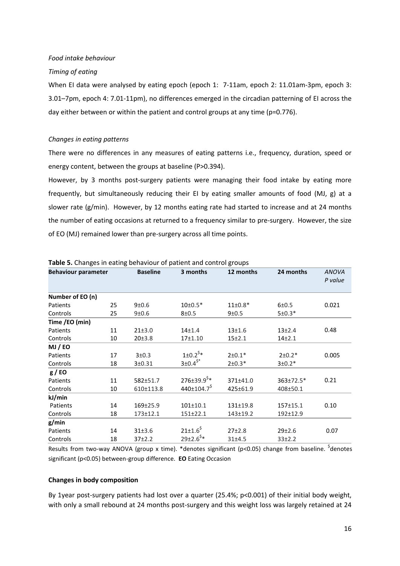*Food intake behaviour*

#### *Timing of eating*

When EI data were analysed by eating epoch (epoch 1: 7-11am, epoch 2: 11.01am-3pm, epoch 3: 3.01–7pm, epoch 4: 7.01-11pm), no differences emerged in the circadian patterning of EI across the day either between or within the patient and control groups at any time (p=0.776).

#### *Changes in eating patterns*

There were no differences in any measures of eating patterns i.e., frequency, duration, speed or energy content, between the groups at baseline (P>0.394).

However, by 3 months post-surgery patients were managing their food intake by eating more frequently, but simultaneously reducing their EI by eating smaller amounts of food (MJ, g) at a slower rate (g/min). However, by 12 months eating rate had started to increase and at 24 months the number of eating occasions at returned to a frequency similar to pre-surgery. However, the size of EO (MJ) remained lower than pre-surgery across all time points.

| <b>Behaviour parameter</b> |    | <b>Baseline</b> | 3 months                      | 12 months      | 24 months    | <b>ANOVA</b><br>P value |
|----------------------------|----|-----------------|-------------------------------|----------------|--------------|-------------------------|
|                            |    |                 |                               |                |              |                         |
| Number of EO (n)           |    |                 |                               |                |              |                         |
| Patients                   | 25 | 9±0.6           | $10 \pm 0.5*$                 | $11\pm0.8*$    | 6±0.5        | 0.021                   |
| Controls                   | 25 | 9±0.6           | $8 + 0.5$                     | 9±0.5          | $5±0.3*$     |                         |
| Time /EO (min)             |    |                 |                               |                |              |                         |
| Patients                   | 11 | 21±3.0          | $14 + 1.4$                    | $13 + 1.6$     | $13+2.4$     | 0.48                    |
| Controls                   | 10 | 20±3.8          | $17 + 1.10$                   | $15+2.1$       | $14+2.1$     |                         |
| MJ / EO                    |    |                 |                               |                |              |                         |
| Patients                   | 17 | 3±0.3           | $1\pm0.2^{5*}$                | $2 \pm 0.1*$   | $2\pm0.2*$   | 0.005                   |
| Controls                   | 18 | 3±0.31          | $3\pm0.4$ <sup>\$*</sup>      | $2 \pm 0.3*$   | $3±0.2*$     |                         |
| g/EO                       |    |                 |                               |                |              |                         |
| Patients                   | 11 | 582±51.7        | $276 \pm 39.9$ <sup>\$*</sup> | 371±41.0       | 363±72.5*    | 0.21                    |
| Controls                   | 10 | 610±113.8       | 440±104.7 <sup>\$</sup>       | 425±61.9       | 408±50.1     |                         |
| kJ/min                     |    |                 |                               |                |              |                         |
| Patients                   | 14 | 169±25.9        | $101 \pm 10.1$                | $131 \pm 19.8$ | $157 + 15.1$ | 0.10                    |
| Controls                   | 18 | 173±12.1        | $151 \pm 22.1$                | 143±19.2       | 192±12.9     |                         |
| g/min                      |    |                 |                               |                |              |                         |
| Patients                   | 14 | 31±3.6          | $21 \pm 1.6^5$                | $27+2.8$       | 29±2.6       | 0.07                    |
| Controls                   | 18 | $37+2.2$        | $29\pm2.6$ <sup>\$*</sup>     | 31±4.5         | $33+2.2$     |                         |

**Table 5.** Changes in eating behaviour of patient and control groups

Results from two-way ANOVA (group x time). \*denotes significant (p<0.05) change from baseline. <sup>\$</sup>denotes significant (p<0.05) between-group difference. **EO** Eating Occasion

#### **Changes in body composition**

By 1year post-surgery patients had lost over a quarter (25.4%; p<0.001) of their initial body weight, with only a small rebound at 24 months post-surgery and this weight loss was largely retained at 24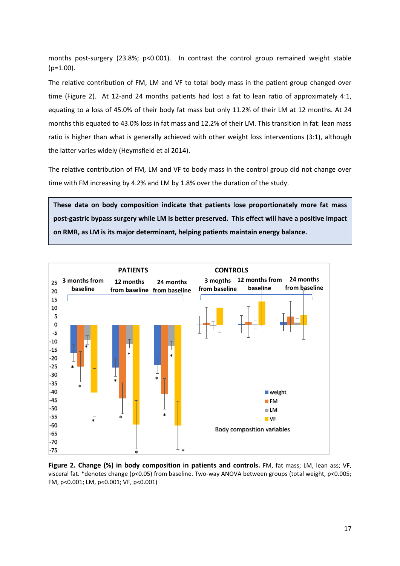months post-surgery (23.8%; p<0.001). In contrast the control group remained weight stable  $(p=1.00)$ .

The relative contribution of FM, LM and VF to total body mass in the patient group changed over time (Figure 2). At 12-and 24 months patients had lost a fat to lean ratio of approximately 4:1, equating to a loss of 45.0% of their body fat mass but only 11.2% of their LM at 12 months. At 24 months this equated to 43.0% loss in fat mass and 12.2% of their LM. This transition in fat: lean mass ratio is higher than what is generally achieved with other weight loss interventions (3:1), although the latter varies widely (Heymsfield et al 2014).

The relative contribution of FM, LM and VF to body mass in the control group did not change over time with FM increasing by 4.2% and LM by 1.8% over the duration of the study.

**These data on body composition indicate that patients lose proportionately more fat mass post-gastric bypass surgery while LM is better preserved. This effect will have a positive impact on RMR, as LM is its major determinant, helping patients maintain energy balance.** 



**Figure 2. Change (%) in body composition in patients and controls.** FM, fat mass; LM, lean ass; VF, visceral fat. \*denotes change (p<0.05) from baseline. Two-way ANOVA between groups (total weight, p<0.005; FM, p<0.001; LM, p<0.001; VF, p<0.001)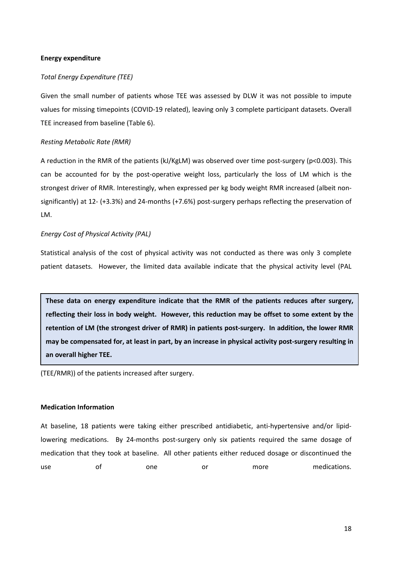#### **Energy expenditure**

#### *Total Energy Expenditure (TEE)*

Given the small number of patients whose TEE was assessed by DLW it was not possible to impute values for missing timepoints (COVID-19 related), leaving only 3 complete participant datasets. Overall TEE increased from baseline (Table 6).

#### *Resting Metabolic Rate (RMR)*

A reduction in the RMR of the patients (kJ/KgLM) was observed over time post-surgery (p<0.003). This can be accounted for by the post-operative weight loss, particularly the loss of LM which is the strongest driver of RMR. Interestingly, when expressed per kg body weight RMR increased (albeit nonsignificantly) at 12- (+3.3%) and 24-months (+7.6%) post-surgery perhaps reflecting the preservation of LM.

#### *Energy Cost of Physical Activity (PAL)*

Statistical analysis of the cost of physical activity was not conducted as there was only 3 complete patient datasets. However, the limited data available indicate that the physical activity level (PAL

**These data on energy expenditure indicate that the RMR of the patients reduces after surgery, reflecting their loss in body weight. However, this reduction may be offset to some extent by the retention of LM (the strongest driver of RMR) in patients post-surgery. In addition, the lower RMR may be compensated for, at least in part, by an increase in physical activity post-surgery resulting in an overall higher TEE.** 

(TEE/RMR)) of the patients increased after surgery.

#### **Medication Information**

At baseline, 18 patients were taking either prescribed antidiabetic, anti-hypertensive and/or lipidlowering medications. By 24-months post-surgery only six patients required the same dosage of medication that they took at baseline. All other patients either reduced dosage or discontinued the use of one or more medications.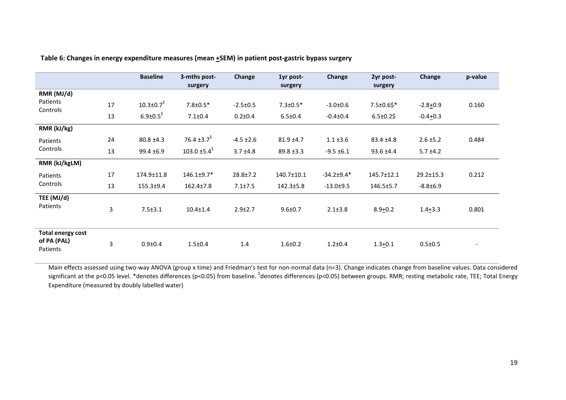|                          |    | <b>Baseline</b>              | 3-mths post-                  | Change         | 1yr post-       | Change           | 2yr post-        | Change        | p-value                  |
|--------------------------|----|------------------------------|-------------------------------|----------------|-----------------|------------------|------------------|---------------|--------------------------|
|                          |    |                              | surgery                       |                | surgery         |                  | surgery          |               |                          |
| RMR (MJ/d)               |    |                              |                               |                |                 |                  |                  |               |                          |
| Patients<br>Controls     | 17 | $10.3 \pm 0.7$ <sup>\$</sup> | $7.8 \pm 0.5*$                | $-2.5 \pm 0.5$ | $7.3 \pm 0.5*$  | $-3.0 \pm 0.6$   | 7.5±0.6\$*       | $-2.8 + 0.9$  | 0.160                    |
|                          | 13 | $6.9{\pm}0.5^5$              | $7.1 \pm 0.4$                 | $0.2{\pm}0.4$  | $6.5 \pm 0.4$   | $-0.4{\pm}0.4$   | $6.5 \pm 0.2$ \$ | $-0.4+0.3$    |                          |
| RMR (kJ/kg)              |    |                              |                               |                |                 |                  |                  |               |                          |
| Patients                 | 24 | $80.8 \pm 4.3$               | 76.4 $\pm$ 3.7 <sup>\$</sup>  | $-4.5 \pm 2.6$ | $81.9 \pm 4.7$  | $1.1 \pm 3.6$    | 83.4 ±4.8        | $2.6 \pm 5.2$ | 0.484                    |
| Controls                 | 13 | $99.4 \pm 6.9$               | 103.0 $\pm$ 5.4 <sup>\$</sup> | $3.7 \pm 4.8$  | $89.8 \pm 3.3$  | $-9.5 \pm 6.1$   | $93.6 \pm 4.4$   | $5.7 \pm 4.2$ |                          |
| RMR (kJ/kgLM)            |    |                              |                               |                |                 |                  |                  |               |                          |
| Patients                 | 17 | 174.9±11.8                   | $146.1 \pm 9.7*$              | $28.8 \pm 7.2$ | 140.7±10.1      | $-34.2 \pm 9.4*$ | 145.7±12.1       | 29.2±15.3     | 0.212                    |
| Controls                 | 13 | 155.3±9.4                    | $162.4 \pm 7.8$               | $7.1 \pm 7.5$  | $142.3 \pm 5.8$ | $-13.0 + 9.5$    | 146.5±5.7        | $-8.8 + 6.9$  |                          |
| TEE (MJ/d)<br>Patients   | 3  | $7.5 \pm 3.1$                | $10.4 \pm 1.4$                | $2.9 + 2.7$    | $9.6 \pm 0.7$   | $2.1 \pm 3.8$    | $8.9 + 0.2$      | $1.4 + 3.3$   | 0.801                    |
| <b>Total energy cost</b> |    |                              |                               |                |                 |                  |                  |               |                          |
| of PA (PAL)<br>Patients  | 3  | $0.9 + 0.4$                  | $1.5 \pm 0.4$                 | 1.4            | $1.6 + 0.2$     | $1.2 \pm 0.4$    | $1.3 + 0.1$      | $0.5 \pm 0.5$ | $\overline{\phantom{a}}$ |

**Table 6: Changes in energy expenditure measures (mean +SEM) in patient post-gastric bypass surgery** 

Main effects assessed using two-way ANOVA (group x time) and Friedman's test for non-normal data (n=3). Change indicates change from baseline values. Data considered significant at the p<0.05 level. \*denotes differences (p<0.05) from baseline. <sup>\$</sup>denotes differences (p<0.05) between groups. RMR; resting metabolic rate, TEE; Total Energy Expenditure (measured by doubly labelled water)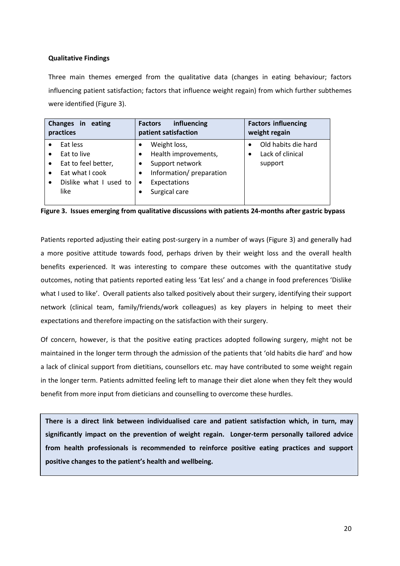## **Qualitative Findings**

Three main themes emerged from the qualitative data (changes in eating behaviour; factors influencing patient satisfaction; factors that influence weight regain) from which further subthemes were identified (Figure 3).

| Changes in eating<br>practices | influencing<br><b>Factors</b><br>patient satisfaction | <b>Factors influencing</b><br>weight regain |
|--------------------------------|-------------------------------------------------------|---------------------------------------------|
| Eat less                       | Weight loss,                                          | Old habits die hard                         |
| Eat to live                    | Health improvements,                                  | Lack of clinical                            |
| Eat to feel better,            | Support network                                       | support                                     |
| Eat what I cook                | Information/preparation                               |                                             |
| Dislike what I used to         | Expectations                                          |                                             |
| like                           | Surgical care                                         |                                             |

**Figure 3. Issues emerging from qualitative discussions with patients 24-months after gastric bypass**

Patients reported adjusting their eating post-surgery in a number of ways (Figure 3) and generally had a more positive attitude towards food, perhaps driven by their weight loss and the overall health benefits experienced. It was interesting to compare these outcomes with the quantitative study outcomes, noting that patients reported eating less 'Eat less' and a change in food preferences 'Dislike what I used to like'. Overall patients also talked positively about their surgery, identifying their support network (clinical team, family/friends/work colleagues) as key players in helping to meet their expectations and therefore impacting on the satisfaction with their surgery.

Of concern, however, is that the positive eating practices adopted following surgery, might not be maintained in the longer term through the admission of the patients that 'old habits die hard' and how a lack of clinical support from dietitians, counsellors etc. may have contributed to some weight regain in the longer term. Patients admitted feeling left to manage their diet alone when they felt they would benefit from more input from dieticians and counselling to overcome these hurdles.

**There is a direct link between individualised care and patient satisfaction which, in turn, may significantly impact on the prevention of weight regain. Longer-term personally tailored advice from health professionals is recommended to reinforce positive eating practices and support positive changes to the patient's health and wellbeing.**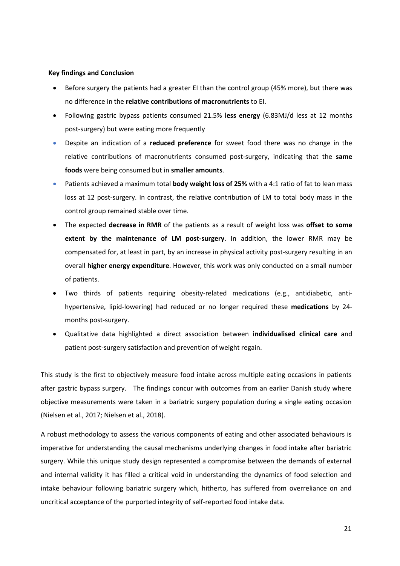#### **Key findings and Conclusion**

- Before surgery the patients had a greater EI than the control group (45% more), but there was no difference in the **relative contributions of macronutrients** to EI.
- Following gastric bypass patients consumed 21.5% **less energy** (6.83MJ/d less at 12 months post-surgery) but were eating more frequently
- Despite an indication of a **reduced preference** for sweet food there was no change in the relative contributions of macronutrients consumed post-surgery, indicating that the **same foods** were being consumed but in **smaller amounts**.
- Patients achieved a maximum total **body weight loss of 25%** with a 4:1 ratio of fat to lean mass loss at 12 post-surgery. In contrast, the relative contribution of LM to total body mass in the control group remained stable over time.
- The expected **decrease in RMR** of the patients as a result of weight loss was **offset to some extent by the maintenance of LM post-surgery**. In addition, the lower RMR may be compensated for, at least in part, by an increase in physical activity post-surgery resulting in an overall **higher energy expenditure**. However, this work was only conducted on a small number of patients.
- Two thirds of patients requiring obesity-related medications (e.g., antidiabetic, antihypertensive, lipid-lowering) had reduced or no longer required these **medications** by 24 months post-surgery.
- Qualitative data highlighted a direct association between **individualised clinical care** and patient post-surgery satisfaction and prevention of weight regain.

This study is the first to objectively measure food intake across multiple eating occasions in patients after gastric bypass surgery. The findings concur with outcomes from an earlier Danish study where objective measurements were taken in a bariatric surgery population during a single eating occasion (Nielsen et al., 2017; Nielsen et al., 2018).

A robust methodology to assess the various components of eating and other associated behaviours is imperative for understanding the causal mechanisms underlying changes in food intake after bariatric surgery. While this unique study design represented a compromise between the demands of external and internal validity it has filled a critical void in understanding the dynamics of food selection and intake behaviour following bariatric surgery which, hitherto, has suffered from overreliance on and uncritical acceptance of the purported integrity of self-reported food intake data.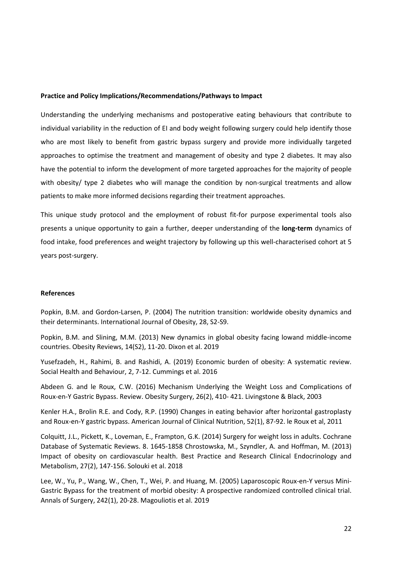#### **Practice and Policy Implications/Recommendations/Pathways to Impact**

Understanding the underlying mechanisms and postoperative eating behaviours that contribute to individual variability in the reduction of EI and body weight following surgery could help identify those who are most likely to benefit from gastric bypass surgery and provide more individually targeted approaches to optimise the treatment and management of obesity and type 2 diabetes. It may also have the potential to inform the development of more targeted approaches for the majority of people with obesity/ type 2 diabetes who will manage the condition by non-surgical treatments and allow patients to make more informed decisions regarding their treatment approaches.

This unique study protocol and the employment of robust fit-for purpose experimental tools also presents a unique opportunity to gain a further, deeper understanding of the **long-term** dynamics of food intake, food preferences and weight trajectory by following up this well-characterised cohort at 5 years post-surgery.

#### **References**

Popkin, B.M. and Gordon-Larsen, P. (2004) The nutrition transition: worldwide obesity dynamics and their determinants. International Journal of Obesity, 28, S2-S9.

Popkin, B.M. and Slining, M.M. (2013) New dynamics in global obesity facing lowand middle-income countries. Obesity Reviews, 14(S2), 11-20. Dixon et al. 2019

Yusefzadeh, H., Rahimi, B. and Rashidi, A. (2019) Economic burden of obesity: A systematic review. Social Health and Behaviour, 2, 7-12. Cummings et al. 2016

Abdeen G. and le Roux, C.W. (2016) Mechanism Underlying the Weight Loss and Complications of Roux-en-Y Gastric Bypass. Review. Obesity Surgery, 26(2), 410- 421. Livingstone & Black, 2003

Kenler H.A., Brolin R.E. and Cody, R.P. (1990) Changes in eating behavior after horizontal gastroplasty and Roux-en-Y gastric bypass. American Journal of Clinical Nutrition, 52(1), 87-92. le Roux et al, 2011

Colquitt, J.L., Pickett, K., Loveman, E., Frampton, G.K. (2014) Surgery for weight loss in adults. Cochrane Database of Systematic Reviews. 8. 1645-1858 Chrostowska, M., Szyndler, A. and Hoffman, M. (2013) Impact of obesity on cardiovascular health. Best Practice and Research Clinical Endocrinology and Metabolism, 27(2), 147-156. Solouki et al. 2018

Lee, W., Yu, P., Wang, W., Chen, T., Wei, P. and Huang, M. (2005) Laparoscopic Roux-en-Y versus Mini-Gastric Bypass for the treatment of morbid obesity: A prospective randomized controlled clinical trial. Annals of Surgery, 242(1), 20-28. Magouliotis et al. 2019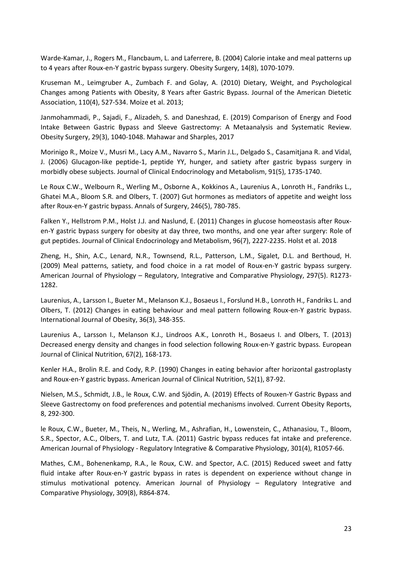Warde-Kamar, J., Rogers M., Flancbaum, L. and Laferrere, B. (2004) Calorie intake and meal patterns up to 4 years after Roux-en-Y gastric bypass surgery. Obesity Surgery, 14(8), 1070-1079.

Kruseman M., Leimgruber A., Zumbach F. and Golay, A. (2010) Dietary, Weight, and Psychological Changes among Patients with Obesity, 8 Years after Gastric Bypass. Journal of the American Dietetic Association, 110(4), 527-534. Moize et al. 2013;

Janmohammadi, P., Sajadi, F., Alizadeh, S. and Daneshzad, E. (2019) Comparison of Energy and Food Intake Between Gastric Bypass and Sleeve Gastrectomy: A Metaanalysis and Systematic Review. Obesity Surgery, 29(3), 1040-1048. Mahawar and Sharples, 2017

Morinigo R., Moize V., Musri M., Lacy A.M., Navarro S., Marin J.L., Delgado S., Casamitjana R. and Vidal, J. (2006) Glucagon-like peptide-1, peptide YY, hunger, and satiety after gastric bypass surgery in morbidly obese subjects. Journal of Clinical Endocrinology and Metabolism, 91(5), 1735-1740.

Le Roux C.W., Welbourn R., Werling M., Osborne A., Kokkinos A., Laurenius A., Lonroth H., Fandriks L., Ghatei M.A., Bloom S.R. and Olbers, T. (2007) Gut hormones as mediators of appetite and weight loss after Roux-en-Y gastric bypass. Annals of Surgery, 246(5), 780-785.

Falken Y., Hellstrom P.M., Holst J.J. and Naslund, E. (2011) Changes in glucose homeostasis after Rouxen-Y gastric bypass surgery for obesity at day three, two months, and one year after surgery: Role of gut peptides. Journal of Clinical Endocrinology and Metabolism, 96(7), 2227-2235. Holst et al. 2018

Zheng, H., Shin, A.C., Lenard, N.R., Townsend, R.L., Patterson, L.M., Sigalet, D.L. and Berthoud, H. (2009) Meal patterns, satiety, and food choice in a rat model of Roux-en-Y gastric bypass surgery. American Journal of Physiology – Regulatory, Integrative and Comparative Physiology, 297(5). R1273- 1282.

Laurenius, A., Larsson I., Bueter M., Melanson K.J., Bosaeus I., Forslund H.B., Lonroth H., Fandriks L. and Olbers, T. (2012) Changes in eating behaviour and meal pattern following Roux-en-Y gastric bypass. International Journal of Obesity, 36(3), 348-355.

Laurenius A., Larsson I., Melanson K.J., Lindroos A.K., Lonroth H., Bosaeus I. and Olbers, T. (2013) Decreased energy density and changes in food selection following Roux-en-Y gastric bypass. European Journal of Clinical Nutrition, 67(2), 168-173.

Kenler H.A., Brolin R.E. and Cody, R.P. (1990) Changes in eating behavior after horizontal gastroplasty and Roux-en-Y gastric bypass. American Journal of Clinical Nutrition, 52(1), 87-92.

Nielsen, M.S., Schmidt, J.B., le Roux, C.W. and Sjödin, A. (2019) Effects of Rouxen-Y Gastric Bypass and Sleeve Gastrectomy on food preferences and potential mechanisms involved. Current Obesity Reports, 8, 292-300.

le Roux, C.W., Bueter, M., Theis, N., Werling, M., Ashrafian, H., Lowenstein, C., Athanasiou, T., Bloom, S.R., Spector, A.C., Olbers, T. and Lutz, T.A. (2011) Gastric bypass reduces fat intake and preference. American Journal of Physiology - Regulatory Integrative & Comparative Physiology, 301(4), R1057-66.

Mathes, C.M., Bohenenkamp, R.A., le Roux, C.W. and Spector, A.C. (2015) Reduced sweet and fatty fluid intake after Roux-en-Y gastric bypass in rates is dependent on experience without change in stimulus motivational potency. American Journal of Physiology – Regulatory Integrative and Comparative Physiology, 309(8), R864-874.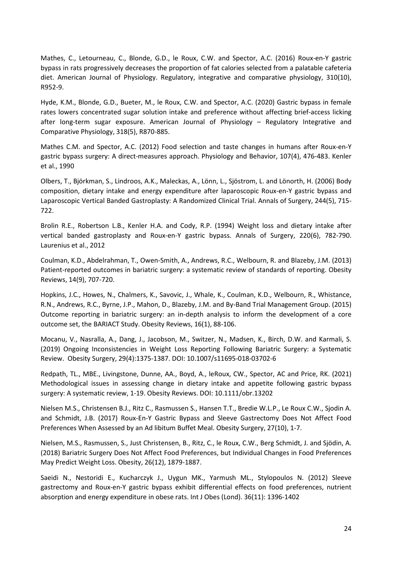Mathes, C., Letourneau, C., Blonde, G.D., le Roux, C.W. and Spector, A.C. (2016) Roux-en-Y gastric bypass in rats progressively decreases the proportion of fat calories selected from a palatable cafeteria diet. American Journal of Physiology. Regulatory, integrative and comparative physiology, 310(10), R952-9.

Hyde, K.M., Blonde, G.D., Bueter, M., le Roux, C.W. and Spector, A.C. (2020) Gastric bypass in female rates lowers concentrated sugar solution intake and preference without affecting brief-access licking after long-term sugar exposure. American Journal of Physiology – Regulatory Integrative and Comparative Physiology, 318(5), R870-885.

Mathes C.M. and Spector, A.C. (2012) Food selection and taste changes in humans after Roux-en-Y gastric bypass surgery: A direct-measures approach. Physiology and Behavior, 107(4), 476-483. Kenler et al., 1990

Olbers, T., Björkman, S., Lindroos, A.K., Maleckas, A., Lönn, L., Sjöstrom, L. and Lönorth, H. (2006) Body composition, dietary intake and energy expenditure after laparoscopic Roux-en-Y gastric bypass and Laparoscopic Vertical Banded Gastroplasty: A Randomized Clinical Trial. Annals of Surgery, 244(5), 715- 722.

Brolin R.E., Robertson L.B., Kenler H.A. and Cody, R.P. (1994) Weight loss and dietary intake after vertical banded gastroplasty and Roux-en-Y gastric bypass. Annals of Surgery, 220(6), 782-790. Laurenius et al., 2012

Coulman, K.D., Abdelrahman, T., Owen-Smith, A., Andrews, R.C., Welbourn, R. and Blazeby, J.M. (2013) Patient-reported outcomes in bariatric surgery: a systematic review of standards of reporting. Obesity Reviews, 14(9), 707-720.

Hopkins, J.C., Howes, N., Chalmers, K., Savovic, J., Whale, K., Coulman, K.D., Welbourn, R., Whistance, R.N., Andrews, R.C., Byrne, J.P., Mahon, D., Blazeby, J.M. and By-Band Trial Management Group. (2015) Outcome reporting in bariatric surgery: an in-depth analysis to inform the development of a core outcome set, the BARIACT Study. Obesity Reviews, 16(1), 88-106.

Mocanu, V., Nasralla, A., Dang, J., Jacobson, M., Switzer, N., Madsen, K., Birch, D.W. and Karmali, S. (2019) Ongoing Inconsistencies in Weight Loss Reporting Following Bariatric Surgery: a Systematic Review. Obesity Surgery, 29(4):1375-1387. DOI: [10.1007/s11695-018-03702-6](https://doi.org/10.1007/s11695-018-03702-6)

Redpath, TL., MBE., Livingstone, Dunne, AA., Boyd, A., leRoux, CW., Spector, AC and Price, RK. (2021) Methodological issues in assessing change in dietary intake and appetite following gastric bypass surgery: A systematic review, 1-19. Obesity Reviews. DOI: 10.1111/obr.13202

Nielsen M.S., Christensen B.J., Ritz C., Rasmussen S., Hansen T.T., Bredie W.L.P., Le Roux C.W., Sjodin A. and Schmidt, J.B. (2017) Roux-En-Y Gastric Bypass and Sleeve Gastrectomy Does Not Affect Food Preferences When Assessed by an Ad libitum Buffet Meal. Obesity Surgery, 27(10), 1-7.

Nielsen, M.S., Rasmussen, S., Just Christensen, B., Ritz, C., le Roux, C.W., Berg Schmidt, J. and Sjödin, A. (2018) Bariatric Surgery Does Not Affect Food Preferences, but Individual Changes in Food Preferences May Predict Weight Loss. Obesity, 26(12), 1879-1887.

Saeidi N., Nestoridi E., Kucharczyk J., Uygun MK., Yarmush ML., Stylopoulos N. (2012) Sleeve gastrectomy and Roux-en-Y gastric bypass exhibit differential effects on food preferences, nutrient absorption and energy expenditure in obese rats. Int J Obes (Lond). 36(11): 1396-1402